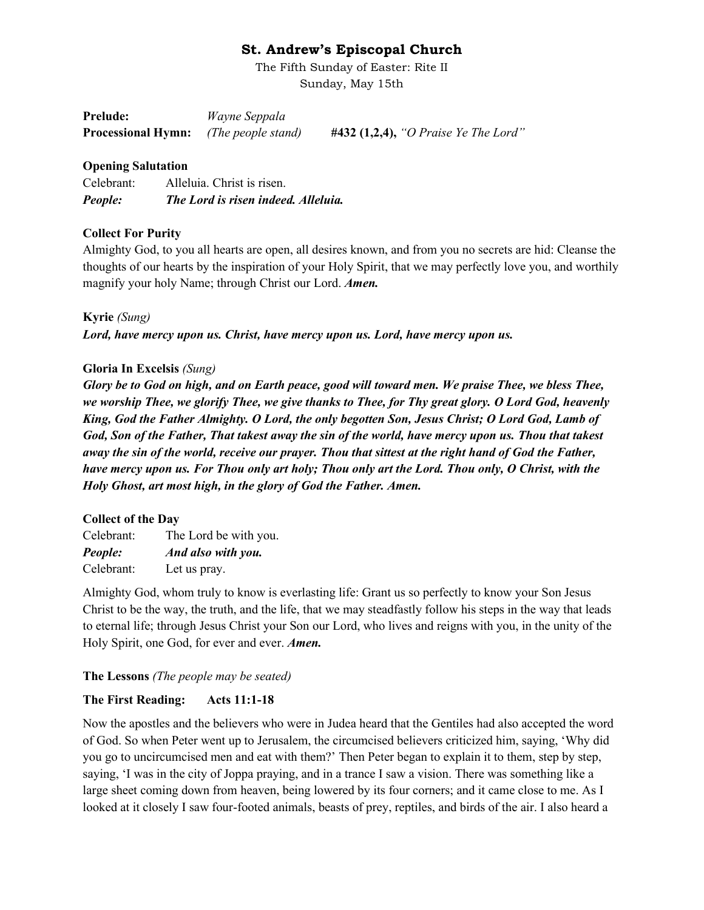The Fifth Sunday of Easter: Rite II Sunday, May 15th

| <b>Prelude:</b>                                     | <i>Wayne Seppala</i> |                                         |
|-----------------------------------------------------|----------------------|-----------------------------------------|
| <b>Processional Hymn:</b> <i>(The people stand)</i> |                      | #432 $(1,2,4)$ , "O Praise Ye The Lord" |

#### **Opening Salutation**

| Celebrant: | Alleluia. Christ is risen.          |
|------------|-------------------------------------|
| People:    | The Lord is risen indeed. Alleluia. |

#### **Collect For Purity**

Almighty God, to you all hearts are open, all desires known, and from you no secrets are hid: Cleanse the thoughts of our hearts by the inspiration of your Holy Spirit, that we may perfectly love you, and worthily magnify your holy Name; through Christ our Lord. *Amen.*

**Kyrie** *(Sung) Lord, have mercy upon us. Christ, have mercy upon us. Lord, have mercy upon us.*

#### **Gloria In Excelsis** *(Sung)*

*Glory be to God on high, and on Earth peace, good will toward men. We praise Thee, we bless Thee, we worship Thee, we glorify Thee, we give thanks to Thee, for Thy great glory. O Lord God, heavenly King, God the Father Almighty. O Lord, the only begotten Son, Jesus Christ; O Lord God, Lamb of God, Son of the Father, That takest away the sin of the world, have mercy upon us. Thou that takest away the sin of the world, receive our prayer. Thou that sittest at the right hand of God the Father, have mercy upon us. For Thou only art holy; Thou only art the Lord. Thou only, O Christ, with the Holy Ghost, art most high, in the glory of God the Father. Amen.*

#### **Collect of the Day**

| Celebrant: | The Lord be with you. |
|------------|-----------------------|
| People:    | And also with you.    |
| Celebrant: | Let us pray.          |

Almighty God, whom truly to know is everlasting life: Grant us so perfectly to know your Son Jesus Christ to be the way, the truth, and the life, that we may steadfastly follow his steps in the way that leads to eternal life; through Jesus Christ your Son our Lord, who lives and reigns with you, in the unity of the Holy Spirit, one God, for ever and ever. *Amen.*

#### **The Lessons** *(The people may be seated)*

#### **The First Reading: Acts 11:1-18**

Now the apostles and the believers who were in Judea heard that the Gentiles had also accepted the word of God. So when Peter went up to Jerusalem, the circumcised believers criticized him, saying, 'Why did you go to uncircumcised men and eat with them?' Then Peter began to explain it to them, step by step, saying, 'I was in the city of Joppa praying, and in a trance I saw a vision. There was something like a large sheet coming down from heaven, being lowered by its four corners; and it came close to me. As I looked at it closely I saw four-footed animals, beasts of prey, reptiles, and birds of the air. I also heard a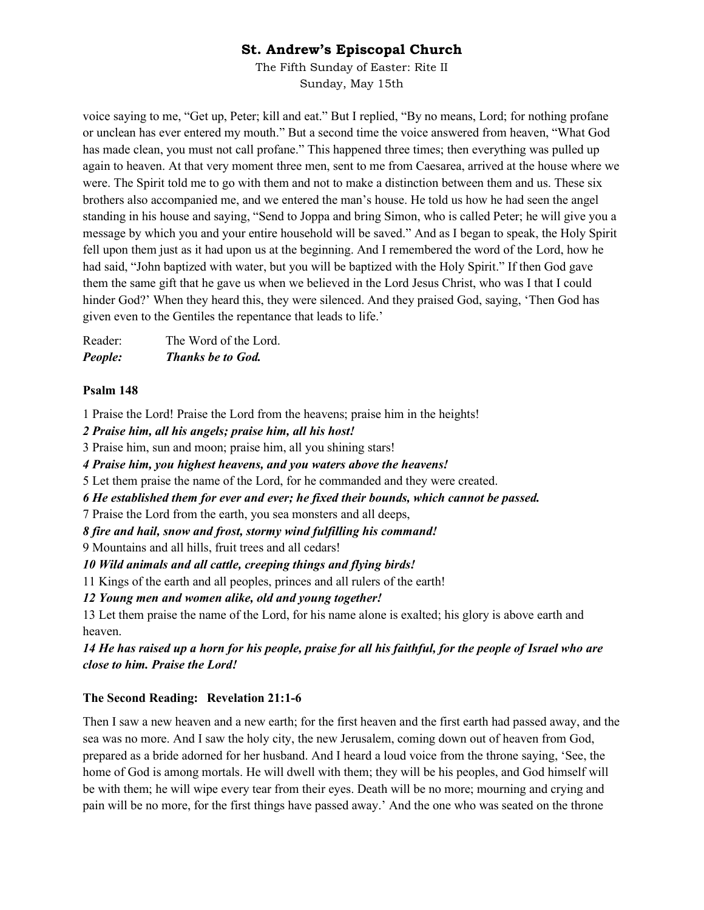The Fifth Sunday of Easter: Rite II Sunday, May 15th

voice saying to me, "Get up, Peter; kill and eat." But I replied, "By no means, Lord; for nothing profane or unclean has ever entered my mouth." But a second time the voice answered from heaven, "What God has made clean, you must not call profane." This happened three times; then everything was pulled up again to heaven. At that very moment three men, sent to me from Caesarea, arrived at the house where we were. The Spirit told me to go with them and not to make a distinction between them and us. These six brothers also accompanied me, and we entered the man's house. He told us how he had seen the angel standing in his house and saying, "Send to Joppa and bring Simon, who is called Peter; he will give you a message by which you and your entire household will be saved." And as I began to speak, the Holy Spirit fell upon them just as it had upon us at the beginning. And I remembered the word of the Lord, how he had said, "John baptized with water, but you will be baptized with the Holy Spirit." If then God gave them the same gift that he gave us when we believed in the Lord Jesus Christ, who was I that I could hinder God?' When they heard this, they were silenced. And they praised God, saying, 'Then God has given even to the Gentiles the repentance that leads to life.'

| People: | <b>Thanks be to God.</b> |
|---------|--------------------------|
| Reader: | The Word of the Lord.    |

#### **Psalm 148**

1 Praise the Lord! Praise the Lord from the heavens; praise him in the heights!

*2 Praise him, all his angels; praise him, all his host!*

3 Praise him, sun and moon; praise him, all you shining stars!

*4 Praise him, you highest heavens, and you waters above the heavens!*

5 Let them praise the name of the Lord, for he commanded and they were created.

*6 He established them for ever and ever; he fixed their bounds, which cannot be passed.*

7 Praise the Lord from the earth, you sea monsters and all deeps,

*8 fire and hail, snow and frost, stormy wind fulfilling his command!*

9 Mountains and all hills, fruit trees and all cedars!

*10 Wild animals and all cattle, creeping things and flying birds!*

11 Kings of the earth and all peoples, princes and all rulers of the earth!

*12 Young men and women alike, old and young together!*

13 Let them praise the name of the Lord, for his name alone is exalted; his glory is above earth and heaven.

### *14 He has raised up a horn for his people, praise for all his faithful, for the people of Israel who are close to him. Praise the Lord!*

## **The Second Reading: Revelation 21:1-6**

Then I saw a new heaven and a new earth; for the first heaven and the first earth had passed away, and the sea was no more. And I saw the holy city, the new Jerusalem, coming down out of heaven from God, prepared as a bride adorned for her husband. And I heard a loud voice from the throne saying, 'See, the home of God is among mortals. He will dwell with them; they will be his peoples, and God himself will be with them; he will wipe every tear from their eyes. Death will be no more; mourning and crying and pain will be no more, for the first things have passed away.' And the one who was seated on the throne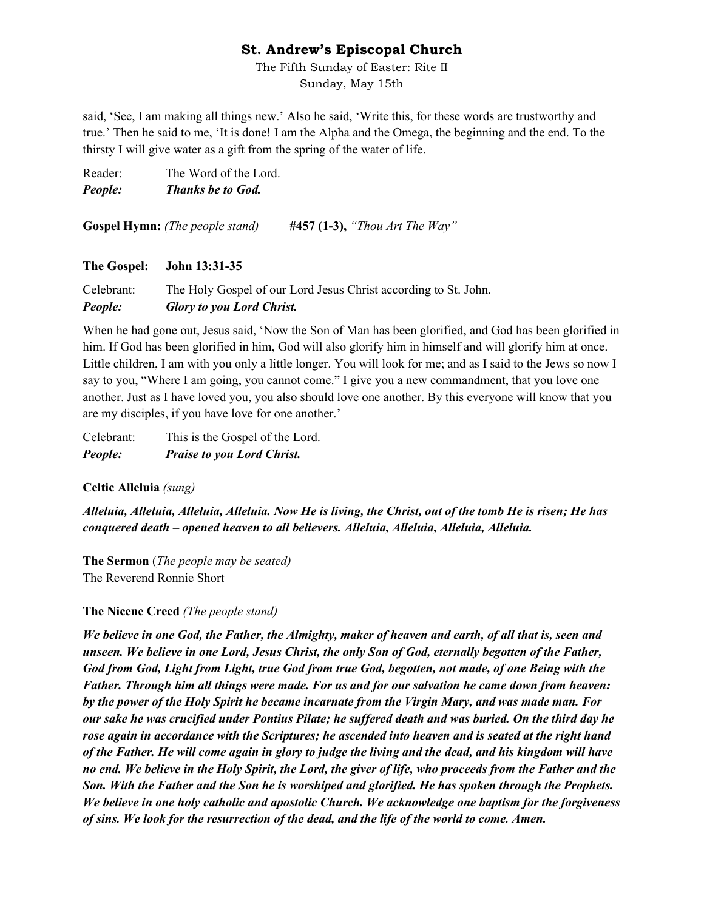The Fifth Sunday of Easter: Rite II Sunday, May 15th

said, 'See, I am making all things new.' Also he said, 'Write this, for these words are trustworthy and true.' Then he said to me, 'It is done! I am the Alpha and the Omega, the beginning and the end. To the thirsty I will give water as a gift from the spring of the water of life.

| People: | <b>Thanks be to God.</b> |
|---------|--------------------------|
| Reader: | The Word of the Lord.    |

**Gospel Hymn:** *(The people stand)* **#457 (1-3),** *"Thou Art The Way"*

#### **The Gospel: John 13:31-35**

Celebrant: The Holy Gospel of our Lord Jesus Christ according to St. John. *People: Glory to you Lord Christ.*

When he had gone out, Jesus said, 'Now the Son of Man has been glorified, and God has been glorified in him. If God has been glorified in him, God will also glorify him in himself and will glorify him at once. Little children, I am with you only a little longer. You will look for me; and as I said to the Jews so now I say to you, "Where I am going, you cannot come." I give you a new commandment, that you love one another. Just as I have loved you, you also should love one another. By this everyone will know that you are my disciples, if you have love for one another.'

| People:    | <b>Praise to you Lord Christ.</b> |
|------------|-----------------------------------|
| Celebrant: | This is the Gospel of the Lord.   |

#### **Celtic Alleluia** *(sung)*

*Alleluia, Alleluia, Alleluia, Alleluia. Now He is living, the Christ, out of the tomb He is risen; He has conquered death – opened heaven to all believers. Alleluia, Alleluia, Alleluia, Alleluia.*

**The Sermon** (*The people may be seated)* The Reverend Ronnie Short

#### **The Nicene Creed** *(The people stand)*

*We believe in one God, the Father, the Almighty, maker of heaven and earth, of all that is, seen and unseen. We believe in one Lord, Jesus Christ, the only Son of God, eternally begotten of the Father, God from God, Light from Light, true God from true God, begotten, not made, of one Being with the Father. Through him all things were made. For us and for our salvation he came down from heaven: by the power of the Holy Spirit he became incarnate from the Virgin Mary, and was made man. For our sake he was crucified under Pontius Pilate; he suffered death and was buried. On the third day he rose again in accordance with the Scriptures; he ascended into heaven and is seated at the right hand of the Father. He will come again in glory to judge the living and the dead, and his kingdom will have no end. We believe in the Holy Spirit, the Lord, the giver of life, who proceeds from the Father and the Son. With the Father and the Son he is worshiped and glorified. He has spoken through the Prophets. We believe in one holy catholic and apostolic Church. We acknowledge one baptism for the forgiveness of sins. We look for the resurrection of the dead, and the life of the world to come. Amen.*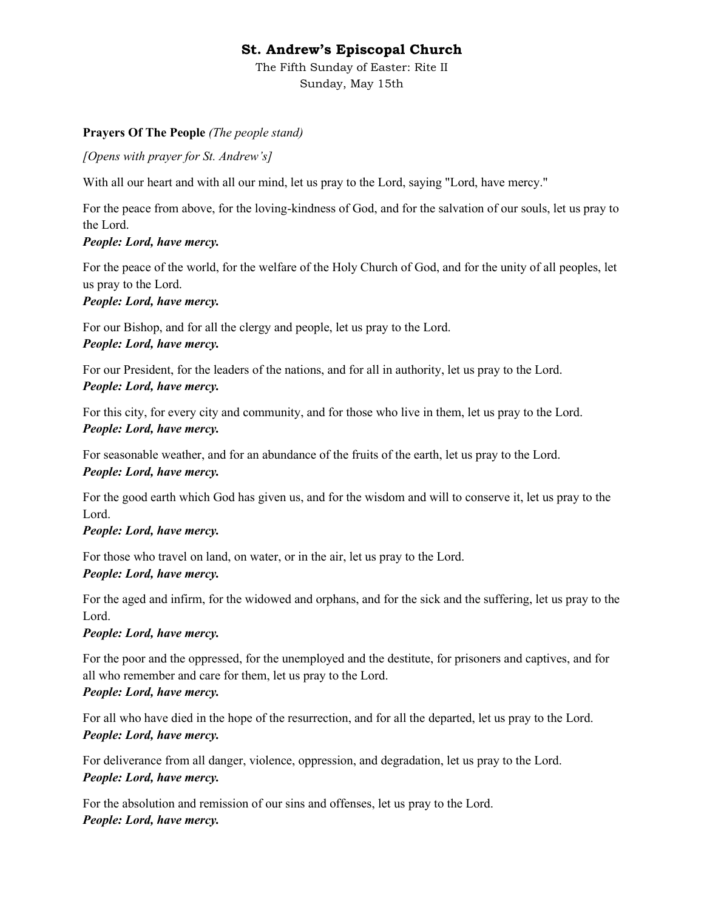The Fifth Sunday of Easter: Rite II Sunday, May 15th

### **Prayers Of The People** *(The people stand)*

*[Opens with prayer for St. Andrew's]*

With all our heart and with all our mind, let us pray to the Lord, saying "Lord, have mercy."

For the peace from above, for the loving-kindness of God, and for the salvation of our souls, let us pray to the Lord.

#### *People: Lord, have mercy.*

For the peace of the world, for the welfare of the Holy Church of God, and for the unity of all peoples, let us pray to the Lord.

*People: Lord, have mercy.*

For our Bishop, and for all the clergy and people, let us pray to the Lord. *People: Lord, have mercy.*

For our President, for the leaders of the nations, and for all in authority, let us pray to the Lord. *People: Lord, have mercy.*

For this city, for every city and community, and for those who live in them, let us pray to the Lord. *People: Lord, have mercy.*

For seasonable weather, and for an abundance of the fruits of the earth, let us pray to the Lord. *People: Lord, have mercy.*

For the good earth which God has given us, and for the wisdom and will to conserve it, let us pray to the Lord.

## *People: Lord, have mercy.*

For those who travel on land, on water, or in the air, let us pray to the Lord. *People: Lord, have mercy.*

For the aged and infirm, for the widowed and orphans, and for the sick and the suffering, let us pray to the Lord.

#### *People: Lord, have mercy.*

For the poor and the oppressed, for the unemployed and the destitute, for prisoners and captives, and for all who remember and care for them, let us pray to the Lord. *People: Lord, have mercy.*

For all who have died in the hope of the resurrection, and for all the departed, let us pray to the Lord. *People: Lord, have mercy.*

For deliverance from all danger, violence, oppression, and degradation, let us pray to the Lord. *People: Lord, have mercy.*

For the absolution and remission of our sins and offenses, let us pray to the Lord. *People: Lord, have mercy.*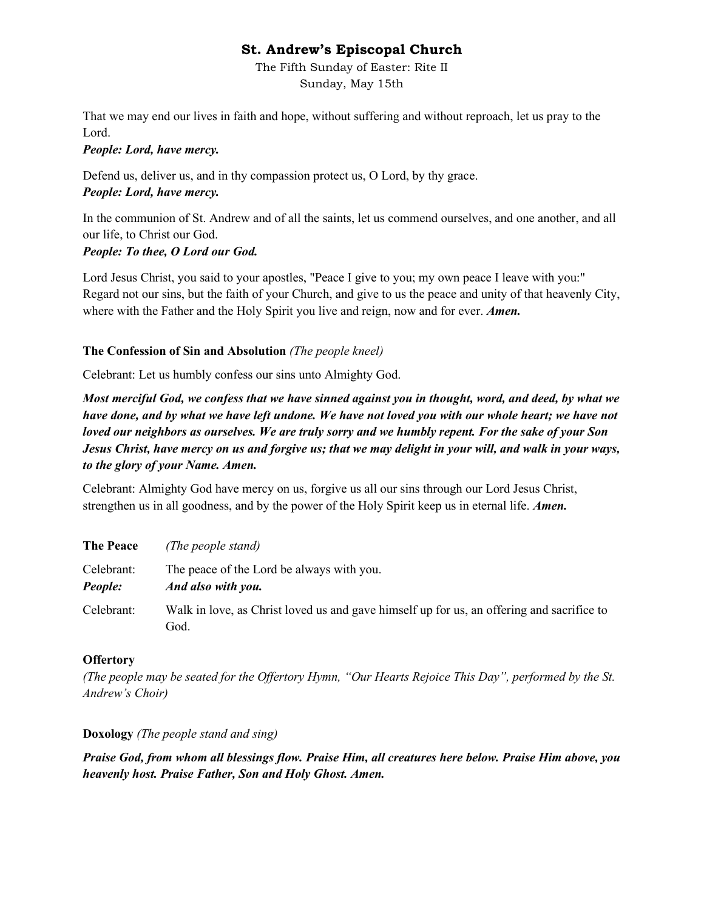The Fifth Sunday of Easter: Rite II Sunday, May 15th

That we may end our lives in faith and hope, without suffering and without reproach, let us pray to the Lord.

#### *People: Lord, have mercy.*

Defend us, deliver us, and in thy compassion protect us, O Lord, by thy grace. *People: Lord, have mercy.*

In the communion of St. Andrew and of all the saints, let us commend ourselves, and one another, and all our life, to Christ our God.

#### *People: To thee, O Lord our God.*

Lord Jesus Christ, you said to your apostles, "Peace I give to you; my own peace I leave with you:" Regard not our sins, but the faith of your Church, and give to us the peace and unity of that heavenly City, where with the Father and the Holy Spirit you live and reign, now and for ever. *Amen.*

#### **The Confession of Sin and Absolution** *(The people kneel)*

Celebrant: Let us humbly confess our sins unto Almighty God.

*Most merciful God, we confess that we have sinned against you in thought, word, and deed, by what we have done, and by what we have left undone. We have not loved you with our whole heart; we have not loved our neighbors as ourselves. We are truly sorry and we humbly repent. For the sake of your Son Jesus Christ, have mercy on us and forgive us; that we may delight in your will, and walk in your ways, to the glory of your Name. Amen.*

Celebrant: Almighty God have mercy on us, forgive us all our sins through our Lord Jesus Christ, strengthen us in all goodness, and by the power of the Holy Spirit keep us in eternal life. *Amen.*

| <b>The Peace</b>             | (The people stand)                                                                                |
|------------------------------|---------------------------------------------------------------------------------------------------|
| Celebrant:<br><b>People:</b> | The peace of the Lord be always with you.<br>And also with you.                                   |
| Celebrant:                   | Walk in love, as Christ loved us and gave himself up for us, an offering and sacrifice to<br>God. |

#### **Offertory**

*(The people may be seated for the Offertory Hymn, "Our Hearts Rejoice This Day", performed by the St. Andrew's Choir)*

#### **Doxology** *(The people stand and sing)*

*Praise God, from whom all blessings flow. Praise Him, all creatures here below. Praise Him above, you heavenly host. Praise Father, Son and Holy Ghost. Amen.*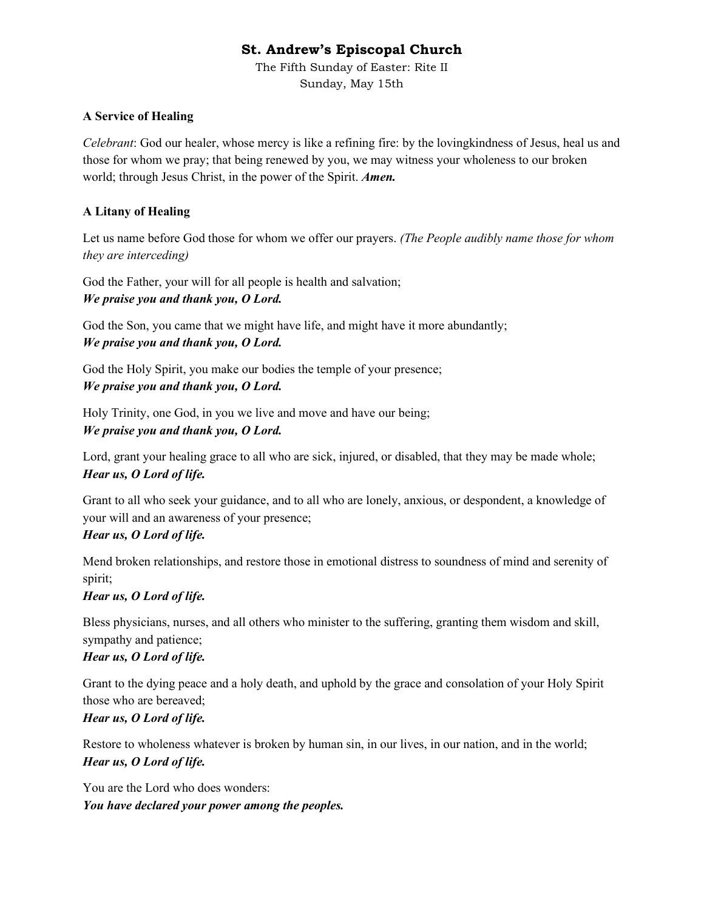The Fifth Sunday of Easter: Rite II Sunday, May 15th

#### **A Service of Healing**

*Celebrant*: God our healer, whose mercy is like a refining fire: by the lovingkindness of Jesus, heal us and those for whom we pray; that being renewed by you, we may witness your wholeness to our broken world; through Jesus Christ, in the power of the Spirit. *Amen.*

### **A Litany of Healing**

Let us name before God those for whom we offer our prayers. *(The People audibly name those for whom they are interceding)*

God the Father, your will for all people is health and salvation; *We praise you and thank you, O Lord.*

God the Son, you came that we might have life, and might have it more abundantly; *We praise you and thank you, O Lord.*

God the Holy Spirit, you make our bodies the temple of your presence; *We praise you and thank you, O Lord.*

Holy Trinity, one God, in you we live and move and have our being; *We praise you and thank you, O Lord.*

Lord, grant your healing grace to all who are sick, injured, or disabled, that they may be made whole; *Hear us, O Lord of life.*

Grant to all who seek your guidance, and to all who are lonely, anxious, or despondent, a knowledge of your will and an awareness of your presence;

#### *Hear us, O Lord of life.*

Mend broken relationships, and restore those in emotional distress to soundness of mind and serenity of spirit;

## *Hear us, O Lord of life.*

Bless physicians, nurses, and all others who minister to the suffering, granting them wisdom and skill, sympathy and patience;

## *Hear us, O Lord of life.*

Grant to the dying peace and a holy death, and uphold by the grace and consolation of your Holy Spirit those who are bereaved;

## *Hear us, O Lord of life.*

Restore to wholeness whatever is broken by human sin, in our lives, in our nation, and in the world; *Hear us, O Lord of life.*

You are the Lord who does wonders: *You have declared your power among the peoples.*